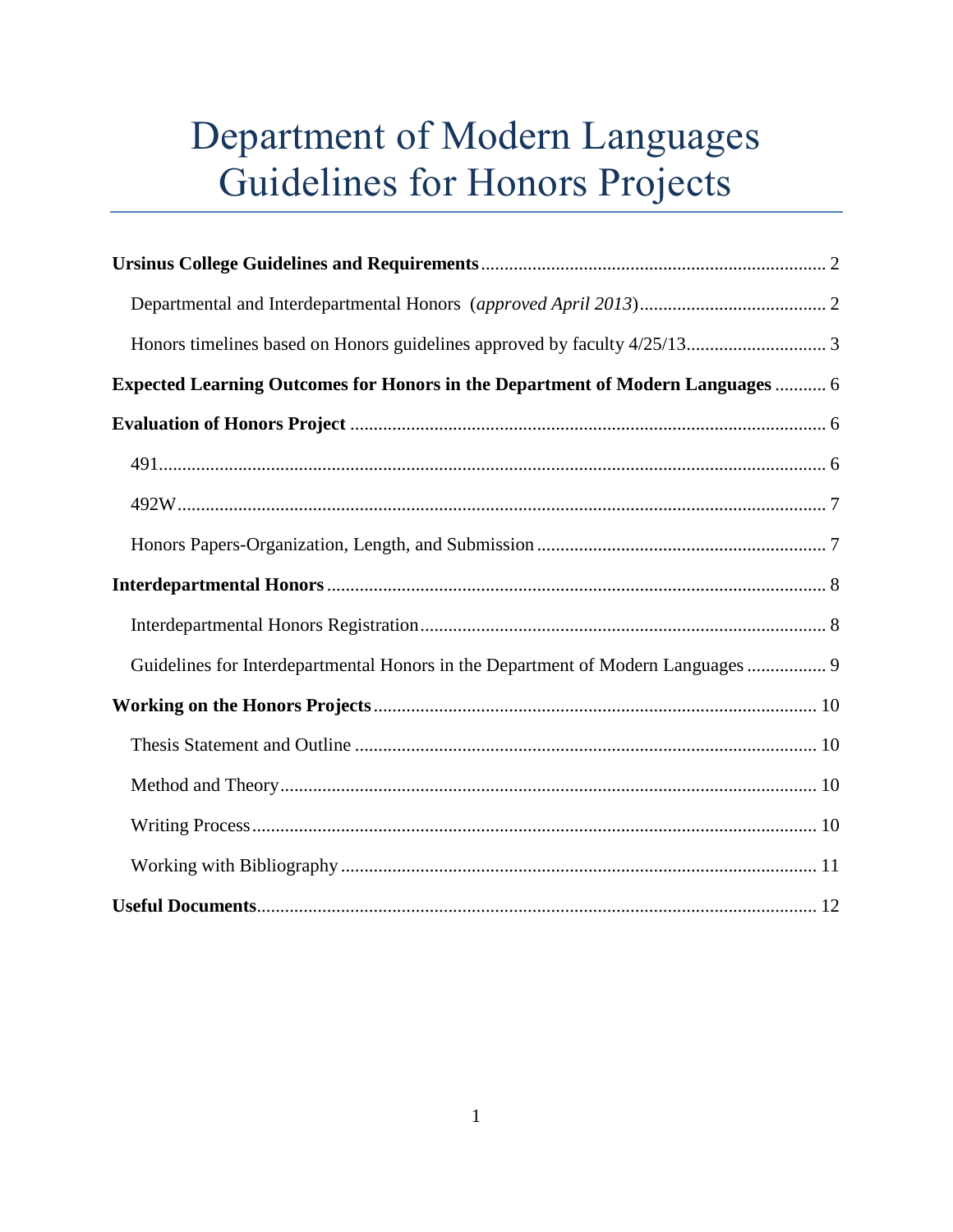# Department of Modern Languages Guidelines for Honors Projects

| <b>Expected Learning Outcomes for Honors in the Department of Modern Languages  6</b> |
|---------------------------------------------------------------------------------------|
|                                                                                       |
|                                                                                       |
|                                                                                       |
|                                                                                       |
|                                                                                       |
|                                                                                       |
| Guidelines for Interdepartmental Honors in the Department of Modern Languages  9      |
|                                                                                       |
|                                                                                       |
|                                                                                       |
|                                                                                       |
|                                                                                       |
|                                                                                       |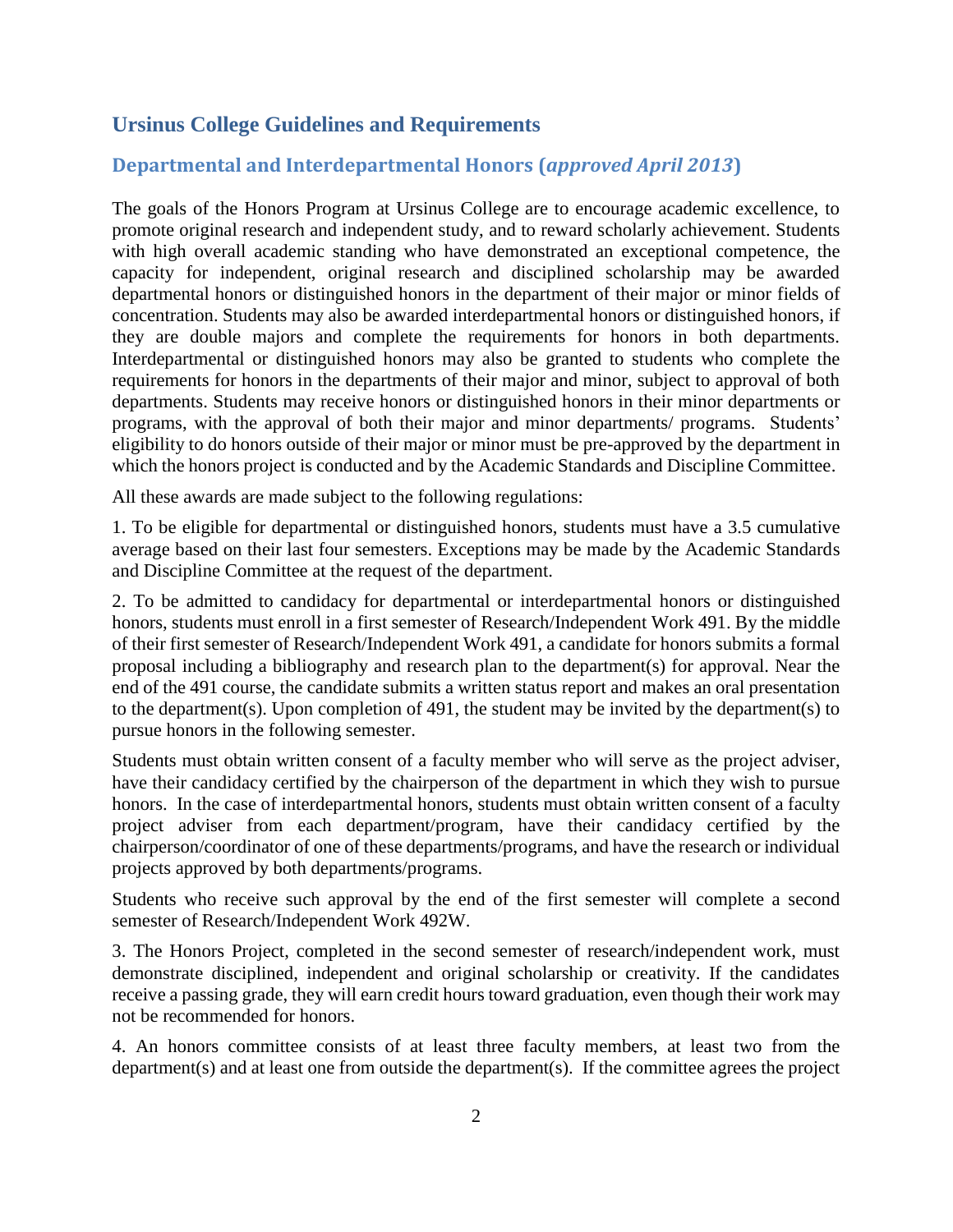## **Ursinus College Guidelines and Requirements**

## **Departmental and Interdepartmental Honors (***approved April 2013***)**

The goals of the Honors Program at Ursinus College are to encourage academic excellence, to promote original research and independent study, and to reward scholarly achievement. Students with high overall academic standing who have demonstrated an exceptional competence, the capacity for independent, original research and disciplined scholarship may be awarded departmental honors or distinguished honors in the department of their major or minor fields of concentration. Students may also be awarded interdepartmental honors or distinguished honors, if they are double majors and complete the requirements for honors in both departments. Interdepartmental or distinguished honors may also be granted to students who complete the requirements for honors in the departments of their major and minor, subject to approval of both departments. Students may receive honors or distinguished honors in their minor departments or programs, with the approval of both their major and minor departments/ programs. Students' eligibility to do honors outside of their major or minor must be pre-approved by the department in which the honors project is conducted and by the Academic Standards and Discipline Committee.

All these awards are made subject to the following regulations:

1. To be eligible for departmental or distinguished honors, students must have a 3.5 cumulative average based on their last four semesters. Exceptions may be made by the Academic Standards and Discipline Committee at the request of the department.

2. To be admitted to candidacy for departmental or interdepartmental honors or distinguished honors, students must enroll in a first semester of Research/Independent Work 491. By the middle of their first semester of Research/Independent Work 491, a candidate for honors submits a formal proposal including a bibliography and research plan to the department(s) for approval. Near the end of the 491 course, the candidate submits a written status report and makes an oral presentation to the department(s). Upon completion of 491, the student may be invited by the department(s) to pursue honors in the following semester.

Students must obtain written consent of a faculty member who will serve as the project adviser, have their candidacy certified by the chairperson of the department in which they wish to pursue honors. In the case of interdepartmental honors, students must obtain written consent of a faculty project adviser from each department/program, have their candidacy certified by the chairperson/coordinator of one of these departments/programs, and have the research or individual projects approved by both departments/programs.

Students who receive such approval by the end of the first semester will complete a second semester of Research/Independent Work 492W.

3. The Honors Project, completed in the second semester of research/independent work, must demonstrate disciplined, independent and original scholarship or creativity. If the candidates receive a passing grade, they will earn credit hours toward graduation, even though their work may not be recommended for honors.

4. An honors committee consists of at least three faculty members, at least two from the department(s) and at least one from outside the department(s). If the committee agrees the project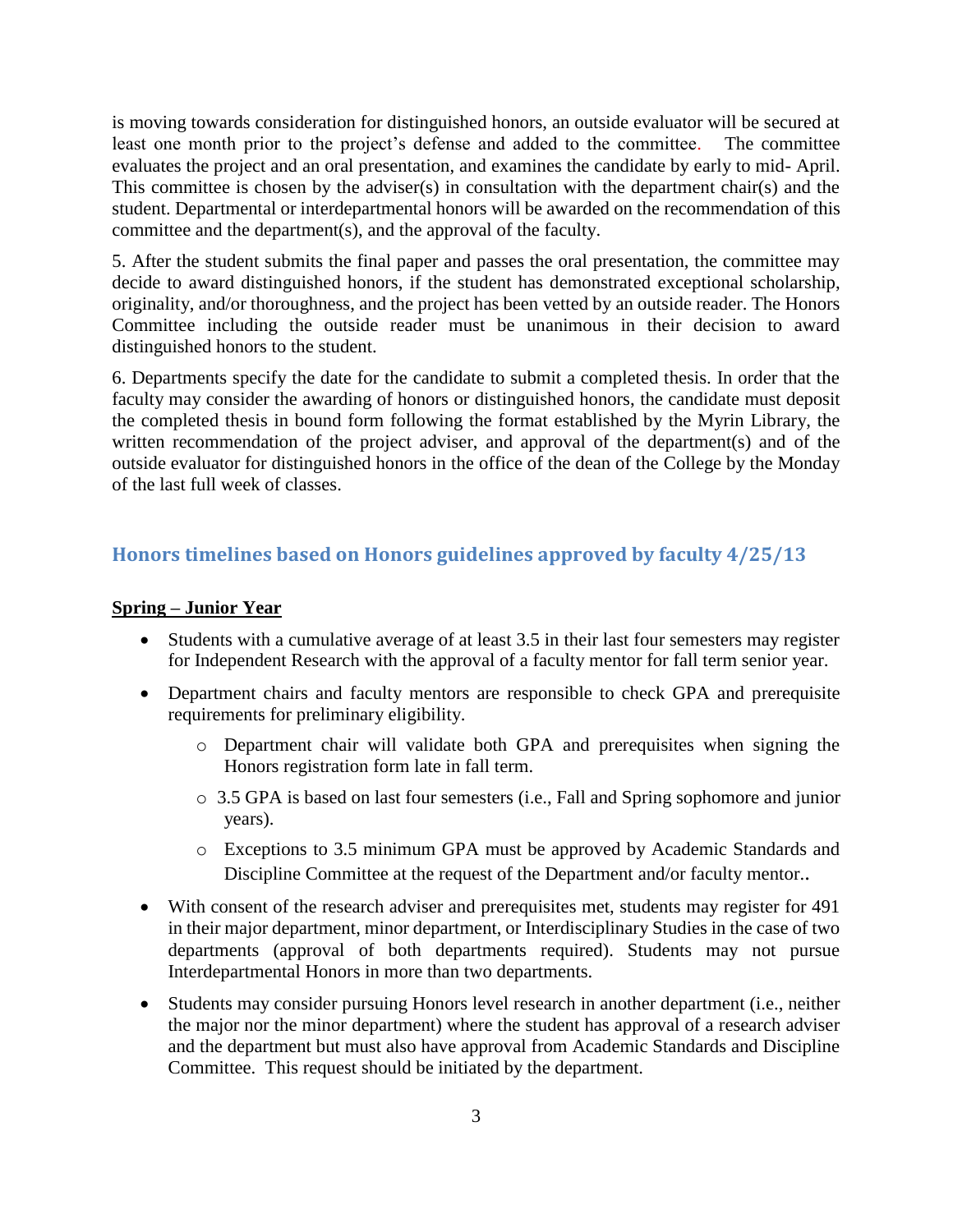is moving towards consideration for distinguished honors, an outside evaluator will be secured at least one month prior to the project's defense and added to the committee. The committee evaluates the project and an oral presentation, and examines the candidate by early to mid- April. This committee is chosen by the adviser(s) in consultation with the department chair(s) and the student. Departmental or interdepartmental honors will be awarded on the recommendation of this committee and the department(s), and the approval of the faculty.

5. After the student submits the final paper and passes the oral presentation, the committee may decide to award distinguished honors, if the student has demonstrated exceptional scholarship, originality, and/or thoroughness, and the project has been vetted by an outside reader. The Honors Committee including the outside reader must be unanimous in their decision to award distinguished honors to the student.

6. Departments specify the date for the candidate to submit a completed thesis. In order that the faculty may consider the awarding of honors or distinguished honors, the candidate must deposit the completed thesis in bound form following the format established by the Myrin Library, the written recommendation of the project adviser, and approval of the department(s) and of the outside evaluator for distinguished honors in the office of the dean of the College by the Monday of the last full week of classes.

## **Honors timelines based on Honors guidelines approved by faculty 4/25/13**

#### **Spring – Junior Year**

- Students with a cumulative average of at least 3.5 in their last four semesters may register for Independent Research with the approval of a faculty mentor for fall term senior year.
- Department chairs and faculty mentors are responsible to check GPA and prerequisite requirements for preliminary eligibility.
	- o Department chair will validate both GPA and prerequisites when signing the Honors registration form late in fall term.
	- o 3.5 GPA is based on last four semesters (i.e., Fall and Spring sophomore and junior years).
	- o Exceptions to 3.5 minimum GPA must be approved by Academic Standards and Discipline Committee at the request of the Department and/or faculty mentor..
- With consent of the research adviser and prerequisites met, students may register for 491 in their major department, minor department, or Interdisciplinary Studies in the case of two departments (approval of both departments required). Students may not pursue Interdepartmental Honors in more than two departments.
- Students may consider pursuing Honors level research in another department (i.e., neither the major nor the minor department) where the student has approval of a research adviser and the department but must also have approval from Academic Standards and Discipline Committee. This request should be initiated by the department.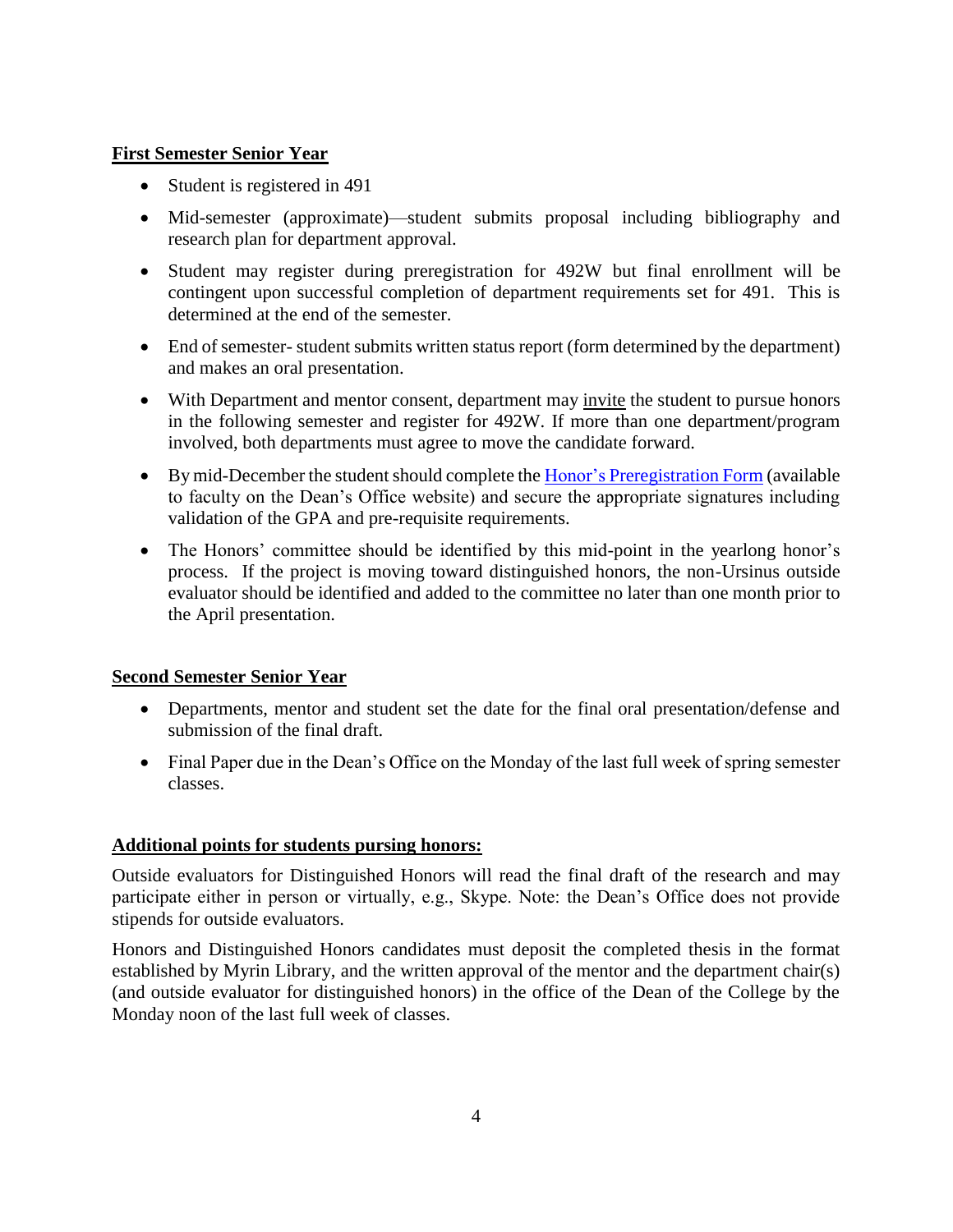#### **First Semester Senior Year**

- Student is registered in 491
- Mid-semester (approximate)—student submits proposal including bibliography and research plan for department approval.
- Student may register during preregistration for 492W but final enrollment will be contingent upon successful completion of department requirements set for 491. This is determined at the end of the semester.
- End of semester- student submits written status report (form determined by the department) and makes an oral presentation.
- With Department and mentor consent, department may invite the student to pursue honors in the following semester and register for 492W. If more than one department/program involved, both departments must agree to move the candidate forward.
- By mid-December the student should complete the [Honor's Preregistration Form](https://www.ursinus.edu/live/files/103-honors-preregistration-2014-updatedpdf) (available to faculty on the Dean's Office website) and secure the appropriate signatures including validation of the GPA and pre-requisite requirements.
- The Honors' committee should be identified by this mid-point in the yearlong honor's process. If the project is moving toward distinguished honors, the non-Ursinus outside evaluator should be identified and added to the committee no later than one month prior to the April presentation.

#### **Second Semester Senior Year**

- Departments, mentor and student set the date for the final oral presentation/defense and submission of the final draft.
- Final Paper due in the Dean's Office on the Monday of the last full week of spring semester classes.

## **Additional points for students pursing honors:**

Outside evaluators for Distinguished Honors will read the final draft of the research and may participate either in person or virtually, e.g., Skype. Note: the Dean's Office does not provide stipends for outside evaluators.

Honors and Distinguished Honors candidates must deposit the completed thesis in the format established by Myrin Library, and the written approval of the mentor and the department chair(s) (and outside evaluator for distinguished honors) in the office of the Dean of the College by the Monday noon of the last full week of classes.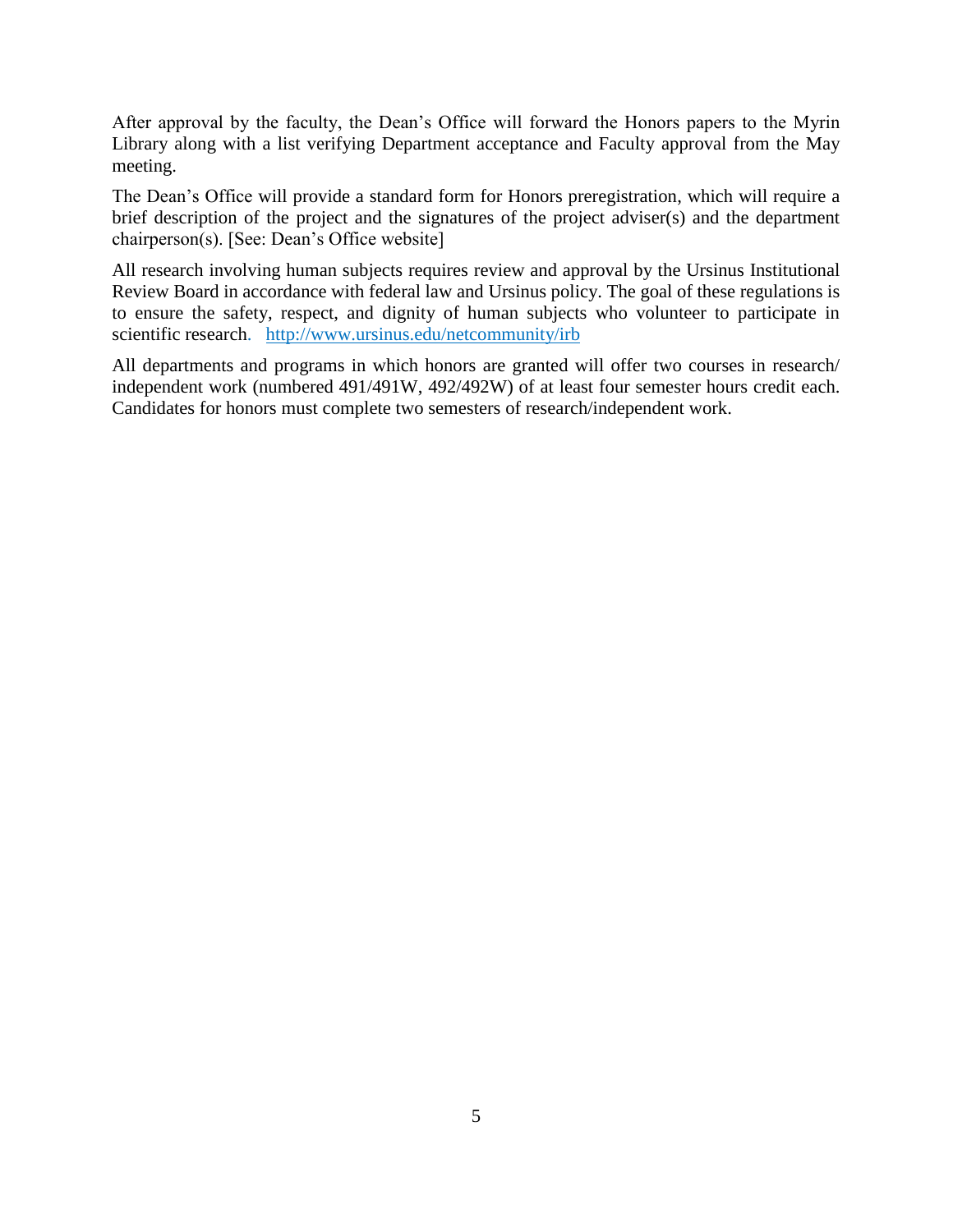After approval by the faculty, the Dean's Office will forward the Honors papers to the Myrin Library along with a list verifying Department acceptance and Faculty approval from the May meeting.

The Dean's Office will provide a standard form for Honors preregistration, which will require a brief description of the project and the signatures of the project adviser(s) and the department chairperson(s). [See: Dean's Office website]

All research involving human subjects requires review and approval by the Ursinus Institutional Review Board in accordance with federal law and Ursinus policy. The goal of these regulations is to ensure the safety, respect, and dignity of human subjects who volunteer to participate in scientific research. <http://www.ursinus.edu/netcommunity/irb>

All departments and programs in which honors are granted will offer two courses in research/ independent work (numbered 491/491W, 492/492W) of at least four semester hours credit each. Candidates for honors must complete two semesters of research/independent work.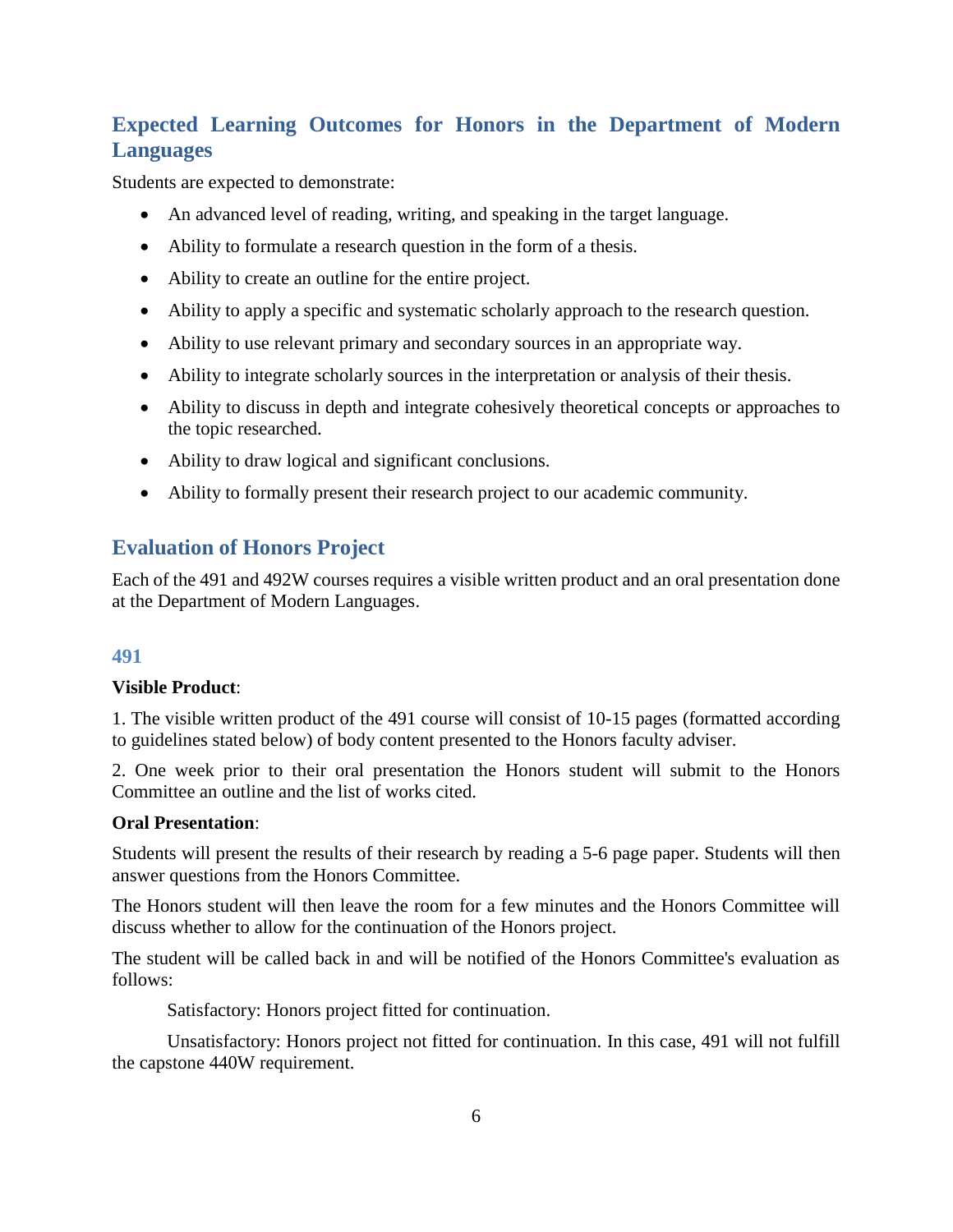# **Expected Learning Outcomes for Honors in the Department of Modern Languages**

Students are expected to demonstrate:

- An advanced level of reading, writing, and speaking in the target language.
- Ability to formulate a research question in the form of a thesis.
- Ability to create an outline for the entire project.
- Ability to apply a specific and systematic scholarly approach to the research question.
- Ability to use relevant primary and secondary sources in an appropriate way.
- Ability to integrate scholarly sources in the interpretation or analysis of their thesis.
- Ability to discuss in depth and integrate cohesively theoretical concepts or approaches to the topic researched.
- Ability to draw logical and significant conclusions.
- Ability to formally present their research project to our academic community.

## **Evaluation of Honors Project**

Each of the 491 and 492W courses requires a visible written product and an oral presentation done at the Department of Modern Languages.

## **491**

#### **Visible Product**:

1. The visible written product of the 491 course will consist of 10-15 pages (formatted according to guidelines stated below) of body content presented to the Honors faculty adviser.

2. One week prior to their oral presentation the Honors student will submit to the Honors Committee an outline and the list of works cited.

#### **Oral Presentation**:

Students will present the results of their research by reading a 5-6 page paper. Students will then answer questions from the Honors Committee.

The Honors student will then leave the room for a few minutes and the Honors Committee will discuss whether to allow for the continuation of the Honors project.

The student will be called back in and will be notified of the Honors Committee's evaluation as follows:

Satisfactory: Honors project fitted for continuation.

Unsatisfactory: Honors project not fitted for continuation. In this case, 491 will not fulfill the capstone 440W requirement.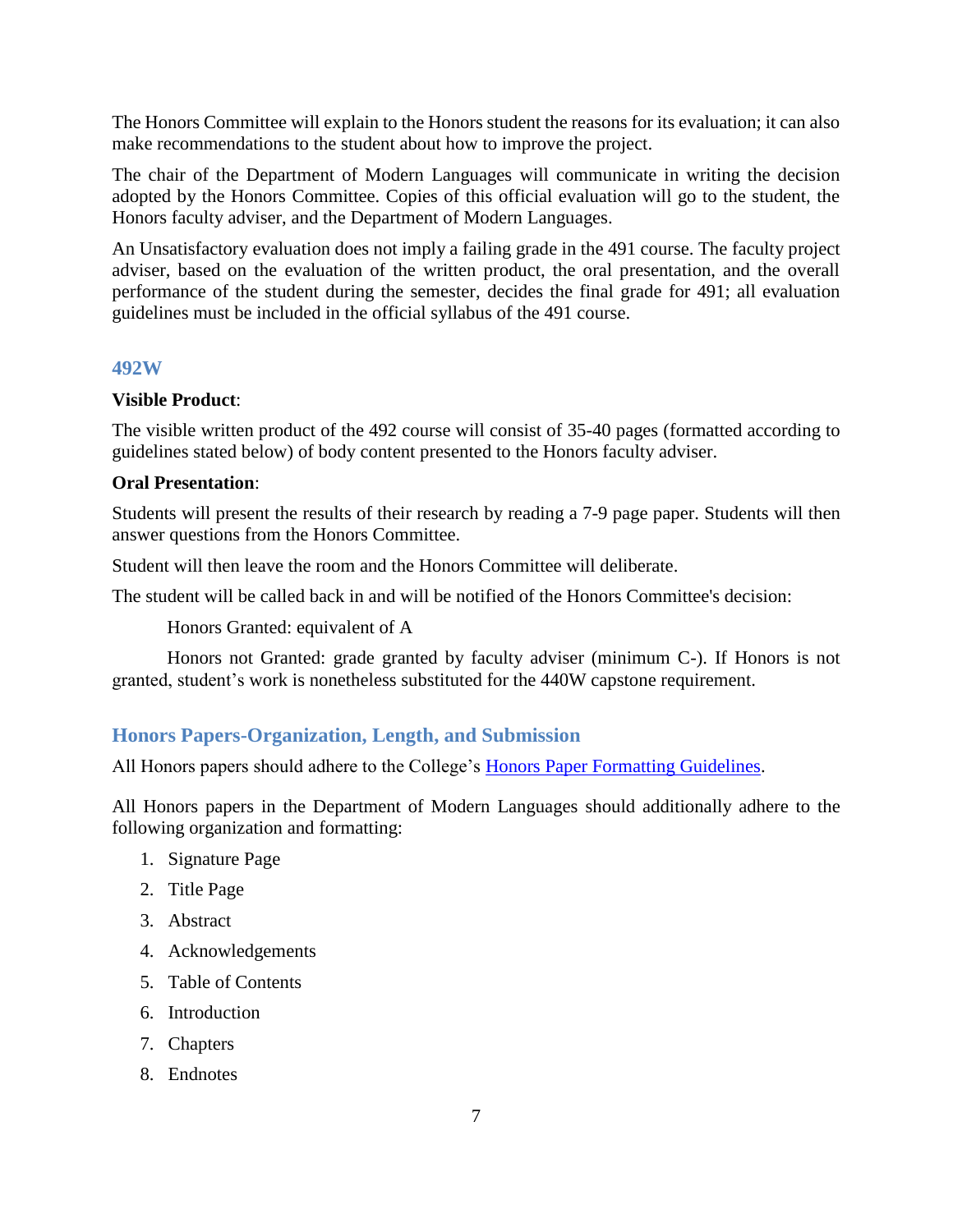The Honors Committee will explain to the Honors student the reasons for its evaluation; it can also make recommendations to the student about how to improve the project.

The chair of the Department of Modern Languages will communicate in writing the decision adopted by the Honors Committee. Copies of this official evaluation will go to the student, the Honors faculty adviser, and the Department of Modern Languages.

An Unsatisfactory evaluation does not imply a failing grade in the 491 course. The faculty project adviser, based on the evaluation of the written product, the oral presentation, and the overall performance of the student during the semester, decides the final grade for 491; all evaluation guidelines must be included in the official syllabus of the 491 course.

#### **492W**

#### **Visible Product**:

The visible written product of the 492 course will consist of 35-40 pages (formatted according to guidelines stated below) of body content presented to the Honors faculty adviser.

#### **Oral Presentation**:

Students will present the results of their research by reading a 7-9 page paper. Students will then answer questions from the Honors Committee.

Student will then leave the room and the Honors Committee will deliberate.

The student will be called back in and will be notified of the Honors Committee's decision:

Honors Granted: equivalent of A

Honors not Granted: grade granted by faculty adviser (minimum C-). If Honors is not granted, student's work is nonetheless substituted for the 440W capstone requirement.

## **Honors Papers-Organization, Length, and Submission**

All Honors papers should adhere to the College's [Honors Paper Formatting Guidelines.](https://www.ursinus.edu/live/files/1044-honors-papers-guidelines)

All Honors papers in the Department of Modern Languages should additionally adhere to the following organization and formatting:

- 1. Signature Page
- 2. Title Page
- 3. Abstract
- 4. Acknowledgements
- 5. Table of Contents
- 6. Introduction
- 7. Chapters
- 8. Endnotes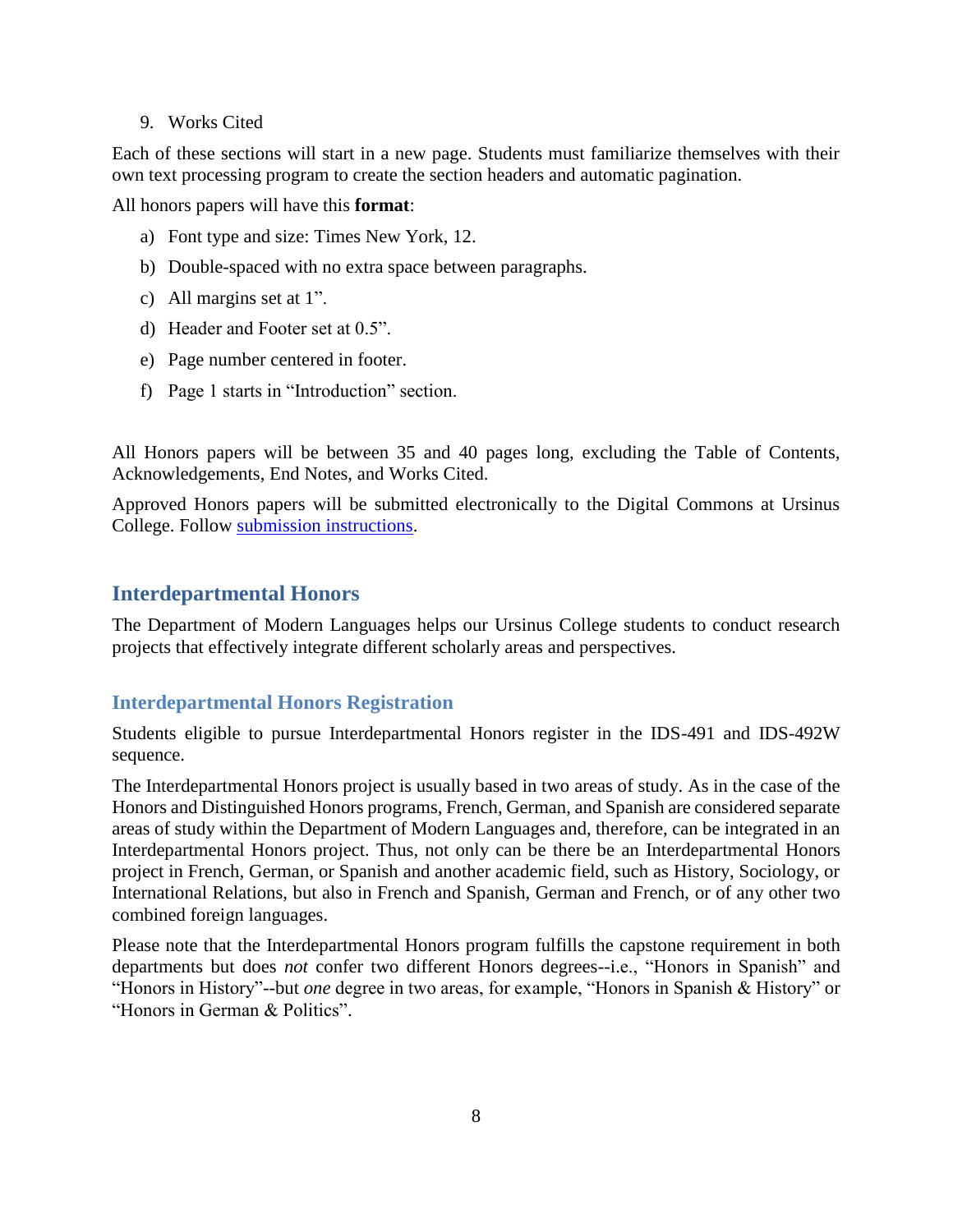#### 9. Works Cited

Each of these sections will start in a new page. Students must familiarize themselves with their own text processing program to create the section headers and automatic pagination.

All honors papers will have this **format**:

- a) Font type and size: Times New York, 12.
- b) Double-spaced with no extra space between paragraphs.
- c) All margins set at 1".
- d) Header and Footer set at 0.5".
- e) Page number centered in footer.
- f) Page 1 starts in "Introduction" section.

All Honors papers will be between 35 and 40 pages long, excluding the Table of Contents, Acknowledgements, End Notes, and Works Cited.

Approved Honors papers will be submitted electronically to the Digital Commons at Ursinus College. Follow [submission instructions.](https://www.ursinus.edu/live/files/1044-honors-papers-guidelines)

## **Interdepartmental Honors**

The Department of Modern Languages helps our Ursinus College students to conduct research projects that effectively integrate different scholarly areas and perspectives.

#### **Interdepartmental Honors Registration**

Students eligible to pursue Interdepartmental Honors register in the IDS-491 and IDS-492W sequence.

The Interdepartmental Honors project is usually based in two areas of study. As in the case of the Honors and Distinguished Honors programs, French, German, and Spanish are considered separate areas of study within the Department of Modern Languages and, therefore, can be integrated in an Interdepartmental Honors project. Thus, not only can be there be an Interdepartmental Honors project in French, German, or Spanish and another academic field, such as History, Sociology, or International Relations, but also in French and Spanish, German and French, or of any other two combined foreign languages.

Please note that the Interdepartmental Honors program fulfills the capstone requirement in both departments but does *not* confer two different Honors degrees--i.e., "Honors in Spanish" and "Honors in History"--but *one* degree in two areas, for example, "Honors in Spanish & History" or "Honors in German & Politics".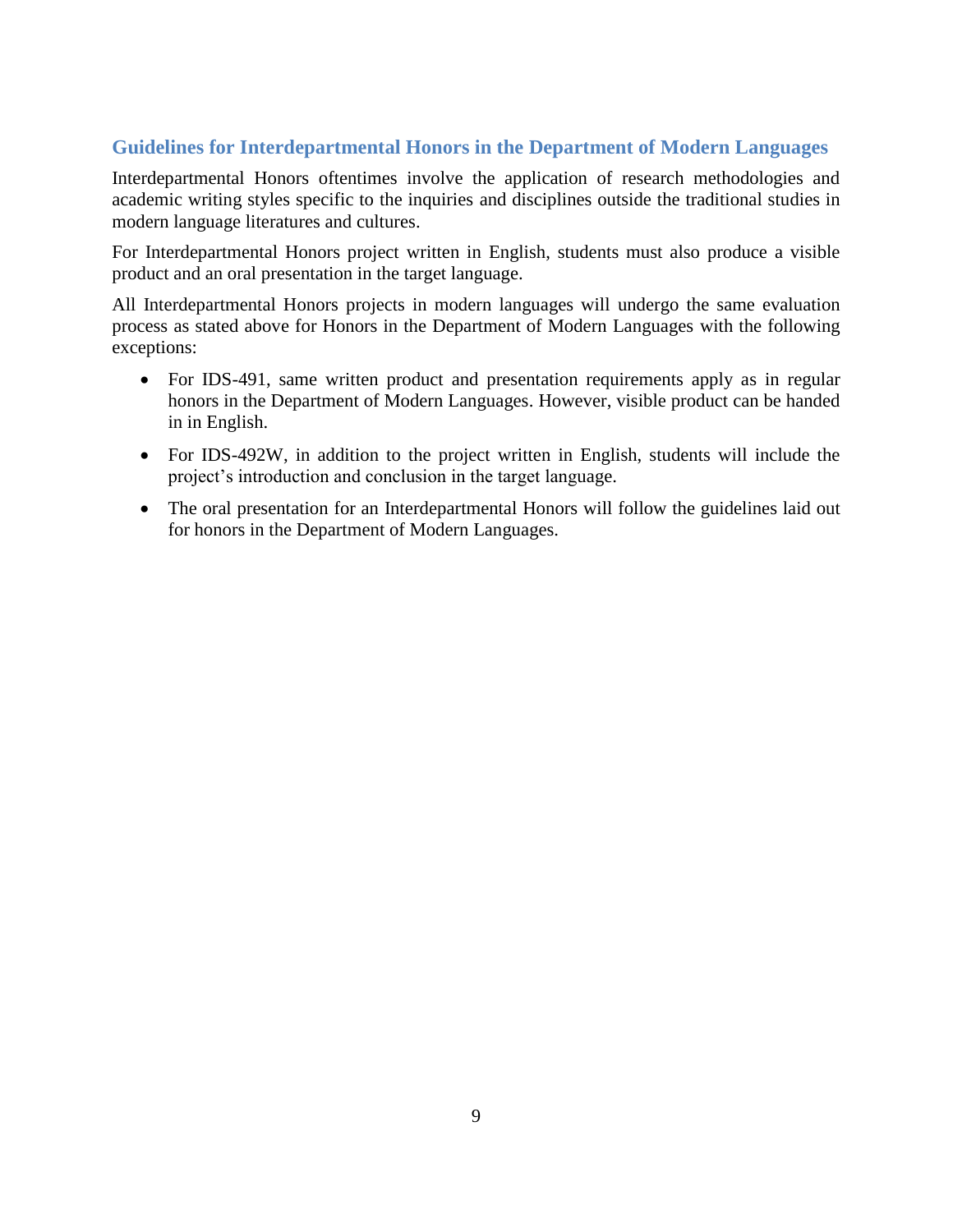## **Guidelines for Interdepartmental Honors in the Department of Modern Languages**

Interdepartmental Honors oftentimes involve the application of research methodologies and academic writing styles specific to the inquiries and disciplines outside the traditional studies in modern language literatures and cultures.

For Interdepartmental Honors project written in English, students must also produce a visible product and an oral presentation in the target language.

All Interdepartmental Honors projects in modern languages will undergo the same evaluation process as stated above for Honors in the Department of Modern Languages with the following exceptions:

- For IDS-491, same written product and presentation requirements apply as in regular honors in the Department of Modern Languages. However, visible product can be handed in in English.
- For IDS-492W, in addition to the project written in English, students will include the project's introduction and conclusion in the target language.
- The oral presentation for an Interdepartmental Honors will follow the guidelines laid out for honors in the Department of Modern Languages.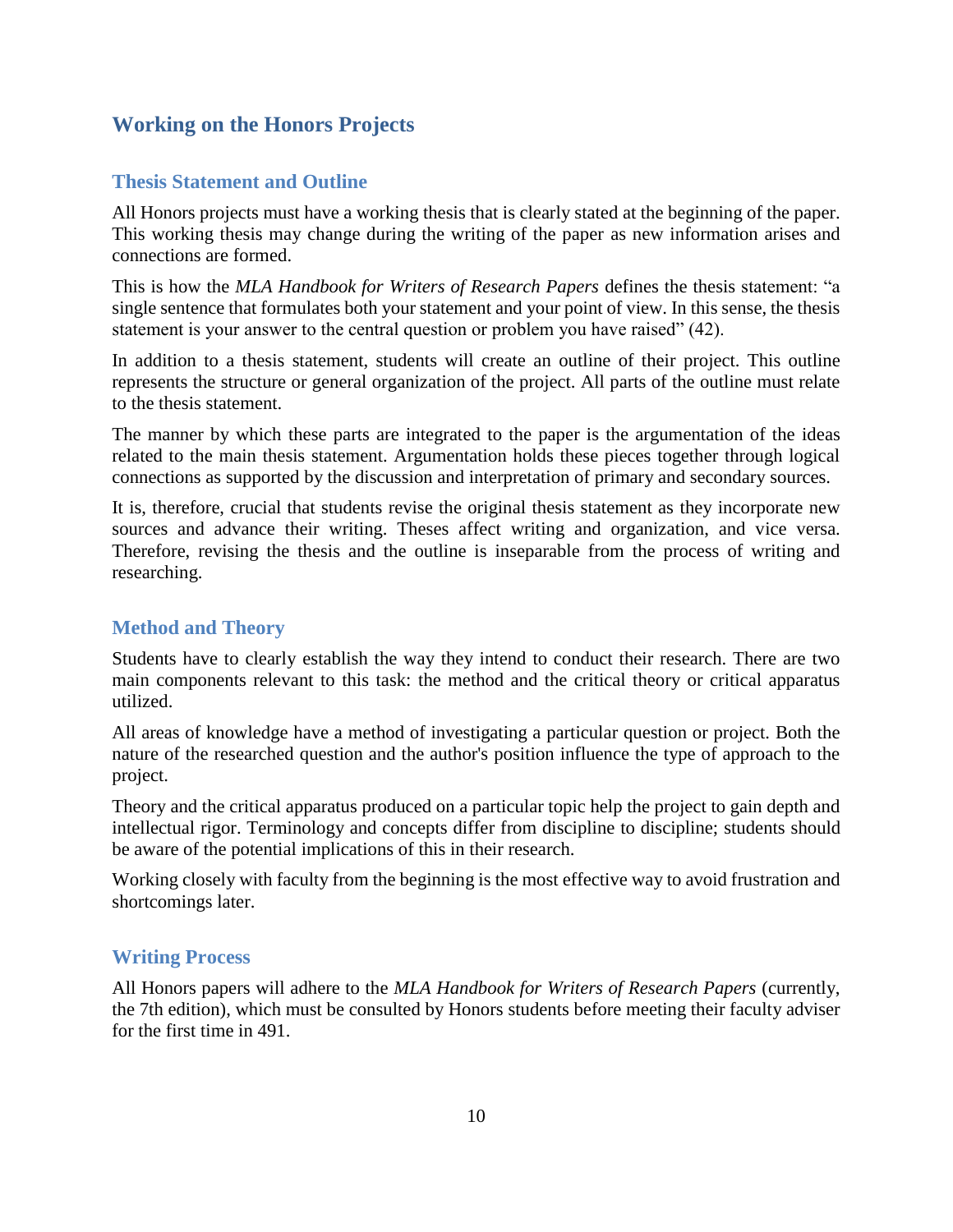## **Working on the Honors Projects**

#### **Thesis Statement and Outline**

All Honors projects must have a working thesis that is clearly stated at the beginning of the paper. This working thesis may change during the writing of the paper as new information arises and connections are formed.

This is how the *MLA Handbook for Writers of Research Papers* defines the thesis statement: "a single sentence that formulates both your statement and your point of view. In this sense, the thesis statement is your answer to the central question or problem you have raised" (42).

In addition to a thesis statement, students will create an outline of their project. This outline represents the structure or general organization of the project. All parts of the outline must relate to the thesis statement.

The manner by which these parts are integrated to the paper is the argumentation of the ideas related to the main thesis statement. Argumentation holds these pieces together through logical connections as supported by the discussion and interpretation of primary and secondary sources.

It is, therefore, crucial that students revise the original thesis statement as they incorporate new sources and advance their writing. Theses affect writing and organization, and vice versa. Therefore, revising the thesis and the outline is inseparable from the process of writing and researching.

## **Method and Theory**

Students have to clearly establish the way they intend to conduct their research. There are two main components relevant to this task: the method and the critical theory or critical apparatus utilized.

All areas of knowledge have a method of investigating a particular question or project. Both the nature of the researched question and the author's position influence the type of approach to the project.

Theory and the critical apparatus produced on a particular topic help the project to gain depth and intellectual rigor. Terminology and concepts differ from discipline to discipline; students should be aware of the potential implications of this in their research.

Working closely with faculty from the beginning is the most effective way to avoid frustration and shortcomings later.

#### **Writing Process**

All Honors papers will adhere to the *MLA Handbook for Writers of Research Papers* (currently, the 7th edition), which must be consulted by Honors students before meeting their faculty adviser for the first time in 491.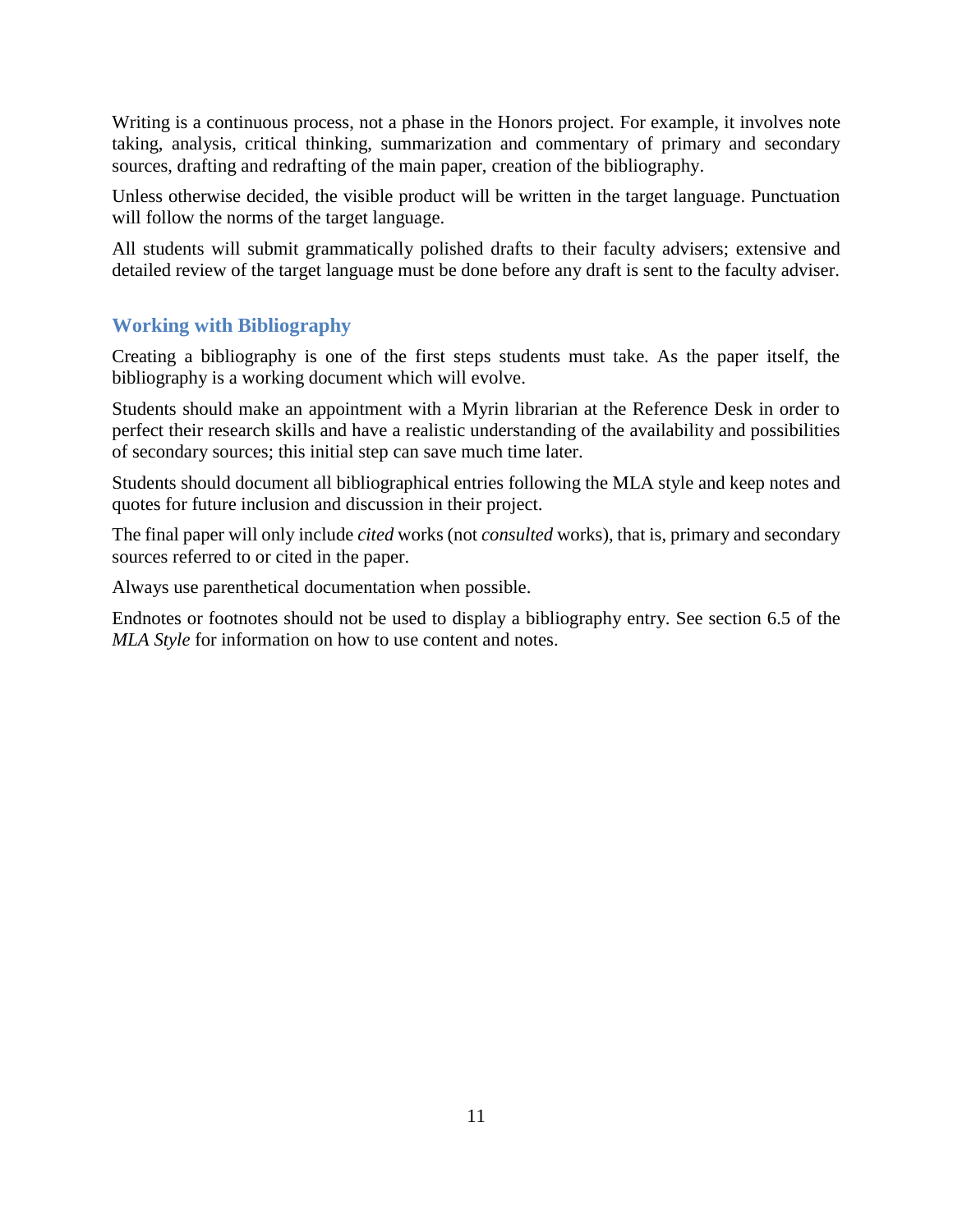Writing is a continuous process, not a phase in the Honors project. For example, it involves note taking, analysis, critical thinking, summarization and commentary of primary and secondary sources, drafting and redrafting of the main paper, creation of the bibliography.

Unless otherwise decided, the visible product will be written in the target language. Punctuation will follow the norms of the target language.

All students will submit grammatically polished drafts to their faculty advisers; extensive and detailed review of the target language must be done before any draft is sent to the faculty adviser.

## **Working with Bibliography**

Creating a bibliography is one of the first steps students must take. As the paper itself, the bibliography is a working document which will evolve.

Students should make an appointment with a Myrin librarian at the Reference Desk in order to perfect their research skills and have a realistic understanding of the availability and possibilities of secondary sources; this initial step can save much time later.

Students should document all bibliographical entries following the MLA style and keep notes and quotes for future inclusion and discussion in their project.

The final paper will only include *cited* works (not *consulted* works), that is, primary and secondary sources referred to or cited in the paper.

Always use parenthetical documentation when possible.

Endnotes or footnotes should not be used to display a bibliography entry. See section 6.5 of the *MLA Style* for information on how to use content and notes.